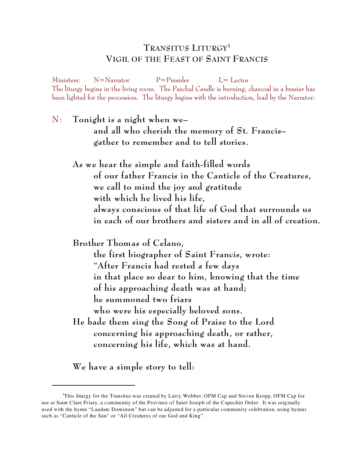# **TRANSITUS LITURGY 1 VIGIL OF THE FEAST OF SAINT FRANCIS**

Ministers: N=Narrator P=Presider L= Lector The liturgy begins in the living room. The Paschal Candle is burning, charcoal in a brazier has been lighted for the procession. The liturgy begins with the introduction, lead by the Narrator:

N: **Tonight is a night when we– and all who cherish the memory of St. Francis– gather to remember and to tell stories.**

**As we hear the simple and faith-filled words of our father Francis in the Canticle of the Creatures, we call to mind the joy and gratitude with which he lived his life, always conscious of that life of God that surrounds us in each of our brothers and sisters and in all of creation.** 

**Brother Thomas of Celano,** 

**the first biographer of Saint Francis, wrote: "After Francis had rested a few days in that place so dear to him, knowing that the time of his approaching death was at hand; he summoned two friars who were his especially beloved sons. He bade them sing the Song of Praise to the Lord concerning his approaching death, or rather, concerning his life, which was at hand.**

**We have a simple story to tell:**

<sup>&</sup>lt;sup>1</sup>This liturgy for the Transitus was created by Larry Webber, OFM Cap and Steven Kropp, OFM Cap for use at Saint Clare Friary, a community of the Province of Saint Joseph of the Capuchin Order. It was originally used with the hymn "Laudate Dominum" but can be adjusted for a particular community celebration, using hymns such as "Canticle of the Sun" or "All Creatures of our God and King".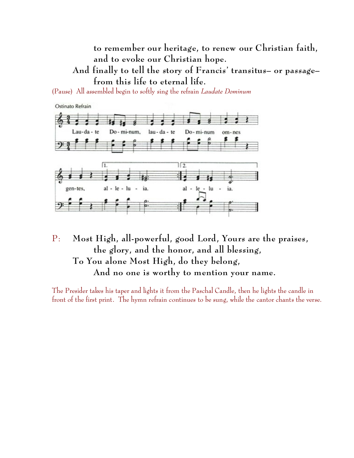**to remember our heritage, to renew our Christian faith, and to evoke our Christian hope.**

**And finally to tell the story of Francis' transitus– or passage– from this life to eternal life.**

(Pause) All assembled begin to softly sing the refrain *Laudate Dominum*



P: **Most High, all-powerful, good Lord, Yours are the praises, the glory, and the honor, and all blessing, To You alone Most High, do they belong, And no one is worthy to mention your name.**

The Presider takes his taper and lights it from the Paschal Candle, then he lights the candle in front of the first print. The hymn refrain continues to be sung, while the cantor chants the verse.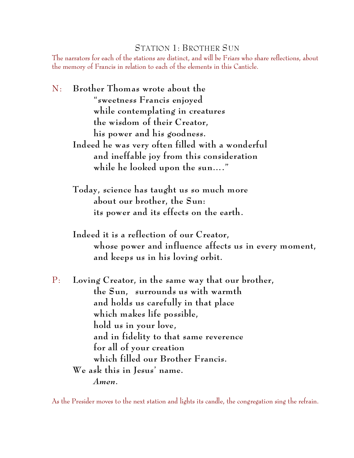### STATION 1: BROTHER SUN

The narrators for each of the stations are distinct, and will be Friars who share reflections, about the memory of Francis in relation to each of the elements in this Canticle.

- N: **Brother Thomas wrote about the "sweetness Francis enjoyed while contemplating in creatures the wisdom of their Creator, his power and his goodness. Indeed he was very often filled with a wonderful and ineffable joy from this consideration while he looked upon the sun…."** 
	- **Today, science has taught us so much more about our brother, the Sun: its power and its effects on the earth.**
	- **Indeed it is a reflection of our Creator, whose power and influence affects us in every moment, and keeps us in his loving orbit.**
- P: **Loving Creator, in the same way that our brother, the Sun, surrounds us with warmth and holds us carefully in that place which makes life possible, hold us in your love, and in fidelity to that same reverence for all of your creation which filled our Brother Francis. We ask this in Jesus' name.** *Amen.*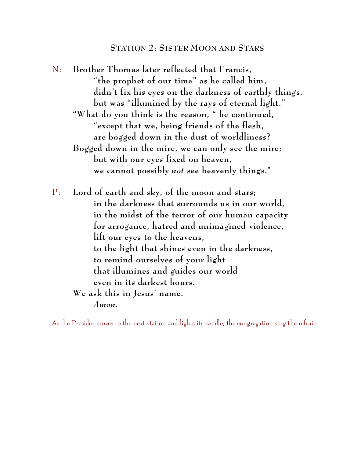#### **STATION 2: SISTER MOON AND STARS**

N: **Brother Thomas later reflected that Francis, "the prophet of our time" as he called him, didn't fix his eyes on the darkness of earthly things, but was "illumined by the rays of eternal light." "What do you think is the reason, " he continued, "except that we, being friends of the flesh, are bogged down in the dust of worldliness? Bogged down in the mire, we can only see the mire; but with our eyes fixed on heaven, we cannot possibly** *not* **see heavenly things."**

P: **Lord of earth and sky, of the moon and stars; in the darkness that surrounds us in our world, in the midst of the terror of our human capacity for arrogance, hatred and unimagined violence, lift our eyes to the heavens, to the light that shines even in the darkness, to remind ourselves of your light that illumines and guides our world even in its darkest hours. We ask this in Jesus' name.** *Amen.*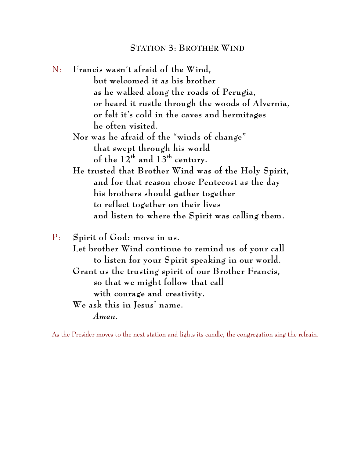N: **Francis wasn't afraid of the Wind, but welcomed it as his brother as he walked along the roads of Perugia, or heard it rustle through the woods of Alvernia, or felt it's cold in the caves and hermitages he often visited.** 

# **Nor was he afraid of the "winds of change" that swept through his world**  of the  $12^{th}$  and  $13^{th}$  century.

**He trusted that Brother Wind was of the Holy Spirit, and for that reason chose Pentecost as the day his brothers should gather together to reflect together on their lives and listen to where the Spirit was calling them.**

P: **Spirit of God: move in us. Let brother Wind continue to remind us of your call to listen for your Spirit speaking in our world. Grant us the trusting spirit of our Brother Francis, so that we might follow that call with courage and creativity. We ask this in Jesus' name.** *Amen.*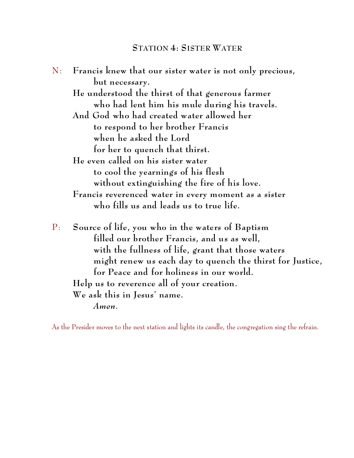| N: | Francis knew that our sister water is not only precious,  |
|----|-----------------------------------------------------------|
|    | but necessary.                                            |
|    | He understood the thirst of that generous farmer          |
|    | who had lent him his mule during his travels.             |
|    | And God who had created water allowed her                 |
|    | to respond to her brother Francis                         |
|    | when he asked the Lord                                    |
|    | for her to quench that thirst.                            |
|    | He even called on his sister water                        |
|    | to cool the yearnings of his flesh                        |
|    | without extinguishing the fire of his love.               |
|    | Francis reverenced water in every moment as a sister      |
|    | who fills us and leads us to true life.                   |
| P: | Source of life, you who in the waters of Baptism          |
|    | filled our brother Francis, and us as well,               |
|    | with the fullness of life, grant that those waters        |
|    | might renew us each day to quench the thirst for Justice, |
|    | for Peace and for holiness in our world.                  |
|    | Help us to reverence all of your creation.                |
|    | We ask this in Jesus' name.                               |
|    | Amen.                                                     |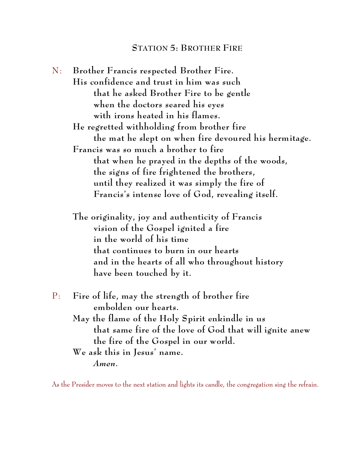#### **STATION 5: BROTHER FIRE**

N: **Brother Francis respected Brother Fire. His confidence and trust in him was such that he asked Brother Fire to be gentle when the doctors seared his eyes with irons heated in his flames. He regretted withholding from brother fire the mat he slept on when fire devoured his hermitage. Francis was so much a brother to fire that when he prayed in the depths of the woods, the signs of fire frightened the brothers, until they realized it was simply the fire of Francis's intense love of God, revealing itself.** 

**The originality, joy and authenticity of Francis vision of the Gospel ignited a fire in the world of his time that continues to burn in our hearts and in the hearts of all who throughout history have been touched by it.**

| $P$ : Fire of life, may the strength of brother fire    |
|---------------------------------------------------------|
| embolden our hearts.                                    |
| May the flame of the Holy Spirit enkindle in us         |
| that same fire of the love of God that will ignite anew |
| the fire of the Gospel in our world.                    |
| We ask this in Jesus' name.                             |
| Amen.                                                   |
|                                                         |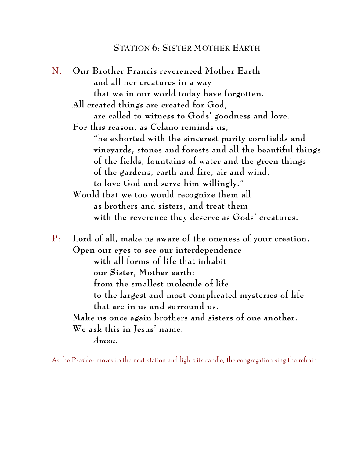#### **STATION 6: SISTER MOTHER EARTH**

N: **Our Brother Francis reverenced Mother Earth and all her creatures in a way that we in our world today have forgotten. All created things are created for God, are called to witness to Gods' goodness and love. For this reason, as Celano reminds us, "he exhorted with the sincerest purity cornfields and vineyards, stones and forests and all the beautiful things of the fields, fountains of water and the green things of the gardens, earth and fire, air and wind, to love God and serve him willingly." Would that we too would recognize them all as brothers and sisters, and treat them with the reverence they deserve as Gods' creatures.** P: **Lord of all, make us aware of the oneness of your creation. Open our eyes to see our interdependence with all forms of life that inhabit our Sister, Mother earth: from the smallest molecule of life to the largest and most complicated mysteries of life that are in us and surround us. Make us once again brothers and sisters of one another. We ask this in Jesus' name.** *Amen.*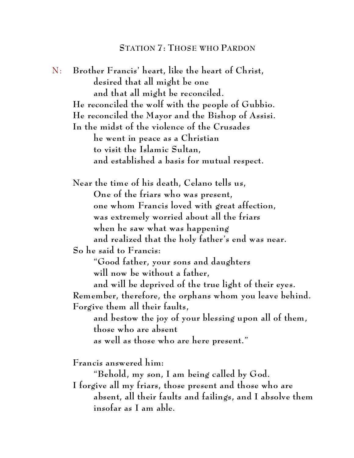N: **Brother Francis' heart, like the heart of Christ, desired that all might be one and that all might be reconciled. He reconciled the wolf with the people of Gubbio. He reconciled the Mayor and the Bishop of Assisi. In the midst of the violence of the Crusades he went in peace as a Christian to visit the Islamic Sultan, and established a basis for mutual respect. Near the time of his death, Celano tells us, One of the friars who was present, one whom Francis loved with great affection, was extremely worried about all the friars when he saw what was happening and realized that the holy father's end was near. So he said to Francis: "Good father, your sons and daughters will now be without a father, and will be deprived of the true light of their eyes. Remember, therefore, the orphans whom you leave behind. Forgive them all their faults, and bestow the joy of your blessing upon all of them, those who are absent as well as those who are here present." Francis answered him: "Behold, my son, I am being called by God. I forgive all my friars, those present and those who are absent, all their faults and failings, and I absolve them insofar as I am able.**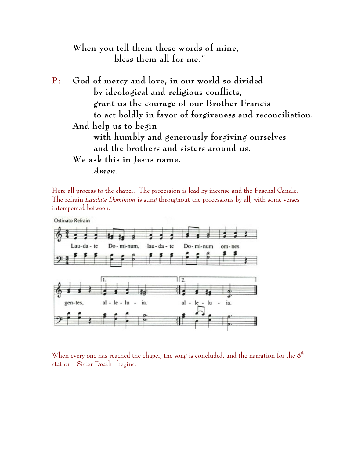# **When you tell them these words of mine, bless them all for me."**

P: **God of mercy and love, in our world so divided by ideological and religious conflicts, grant us the courage of our Brother Francis to act boldly in favor of forgiveness and reconciliation. And help us to begin with humbly and generously forgiving ourselves and the brothers and sisters around us. We ask this in Jesus name.** *Amen.*

Here all process to the chapel. The procession is lead by incense and the Paschal Candle. The refrain *Laudate Dominum* is sung throughout the processions by all, with some verses interspersed between.



When every one has reached the chapel, the song is concluded, and the narration for the  $8<sup>th</sup>$ station– Sister Death– begins.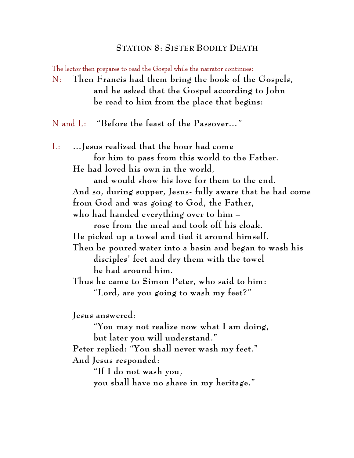#### **STATION 8: SISTER BODILY DEATH**

The lector then prepares to read the Gospel while the narrator continues:

N: **Then Francis had them bring the book of the Gospels, and he asked that the Gospel according to John be read to him from the place that begins:**

N and L: **"Before the feast of the Passover…"**

L: **…Jesus realized that the hour had come for him to pass from this world to the Father. He had loved his own in the world, and would show his love for them to the end. And so, during supper, Jesus- fully aware that he had come from God and was going to God, the Father, who had handed everything over to him – rose from the meal and took off his cloak. He picked up a towel and tied it around himself. Then he poured water into a basin and began to wash his disciples' feet and dry them with the towel he had around him. Thus he came to Simon Peter, who said to him: "Lord, are you going to wash my feet?" Jesus answered: "You may not realize now what I am doing, but later you will understand." Peter replied: "You shall never wash my feet." And Jesus responded:** 

> **"If I do not wash you, you shall have no share in my heritage."**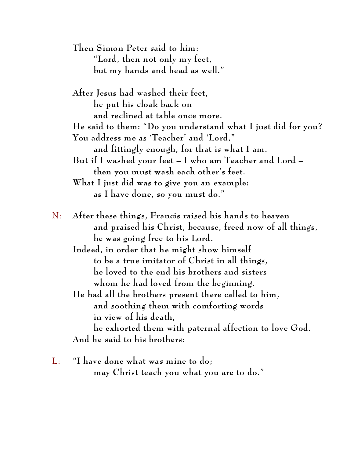**Then Simon Peter said to him: "Lord, then not only my feet, but my hands and head as well."**

**After Jesus had washed their feet, he put his cloak back on and reclined at table once more. He said to them: "Do you understand what I just did for you? You address me as 'Teacher' and 'Lord," and fittingly enough, for that is what I am. But if I washed your feet – I who am Teacher and Lord – then you must wash each other's feet. What I just did was to give you an example: as I have done, so you must do."**

- N: **After these things, Francis raised his hands to heaven and praised his Christ, because, freed now of all things, he was going free to his Lord.** 
	- **Indeed, in order that he might show himself to be a true imitator of Christ in all things, he loved to the end his brothers and sisters whom he had loved from the beginning.**
	- **He had all the brothers present there called to him, and soothing them with comforting words in view of his death,**

**he exhorted them with paternal affection to love God. And he said to his brothers:**

L: **"I have done what was mine to do; may Christ teach you what you are to do."**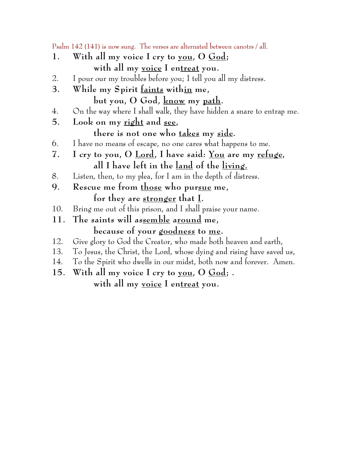Psalm 142 (141) is now sung. The verses are alternated between canotrs / all.

- **1. With all my voice I cry to you, O God; with all my voice I entreat you.**
- 2. I pour our my troubles before you; I tell you all my distress.
- **3. While my Spirit faints within me,** 
	- **but you, O God, know my path.**
- 4. On the way where I shall walk, they have hidden a snare to entrap me.
- **5. Look on my right and see,**

**there is not one who takes my side.**

- 6. I have no means of escape, no one cares what happens to me.
- **7. I cry to you, O Lord, I have said: You are my refuge, all I have left in the land of the living.**
- 8. Listen, then, to my plea, for I am in the depth of distress.
- **9. Rescue me from those who pursue me, for they are stronger that I.**
- 10. Bring me out of this prison, and I shall praise your name.
- **11. The saints will assemble around me, because of your goodness to me.**
- 12. Give glory to God the Creator, who made both heaven and earth,
- 13. To Jesus, the Christ, the Lord, whose dying and rising have saved us,
- 14. To the Spirit who dwells in our midst, both now and forever. Amen.
- **15. With all my voice I cry to you, O God; . with all my voice I entreat you.**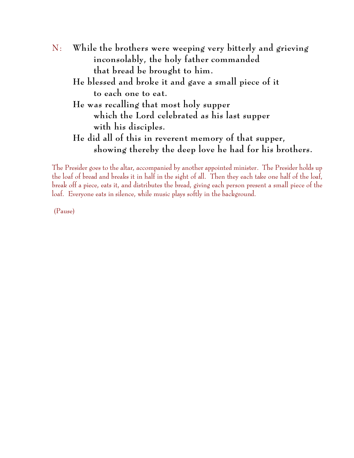N: **While the brothers were weeping very bitterly and grieving inconsolably, the holy father commanded that bread be brought to him. He blessed and broke it and gave a small piece of it to each one to eat. He was recalling that most holy supper which the Lord celebrated as his last supper with his disciples. He did all of this in reverent memory of that supper, showing thereby the deep love he had for his brothers.**

The Presider goes to the altar, accompanied by another appointed minister. The Presider holds up the loaf of bread and breaks it in half in the sight of all. Then they each take one half of the loaf, break off a piece, eats it, and distributes the bread, giving each person present a small piece of the loaf. Everyone eats in silence, while music plays softly in the background.

(Pause)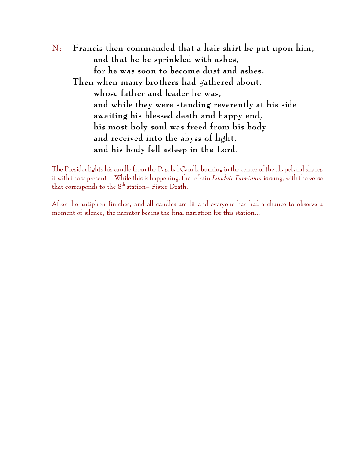N: **Francis then commanded that a hair shirt be put upon him, and that he be sprinkled with ashes, for he was soon to become dust and ashes. Then when many brothers had gathered about, whose father and leader he was, and while they were standing reverently at his side awaiting his blessed death and happy end, his most holy soul was freed from his body and received into the abyss of light, and his body fell asleep in the Lord.**

The Presider lights his candle from the Paschal Candle burning in the center of the chapel and shares it with those present. While this is happening, the refrain *Laudate Dominum* is sung, with the verse that corresponds to the  $8<sup>th</sup>$  station– Sister Death.

After the antiphon finishes, and all candles are lit and everyone has had a chance to observe a moment of silence, the narrator begins the final narration for this station...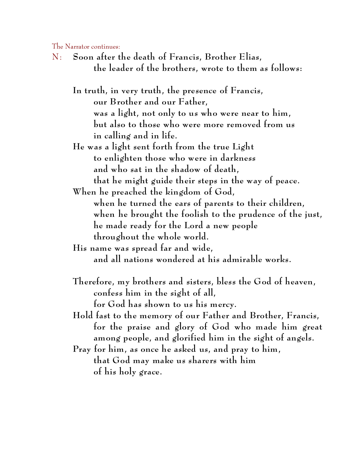The Narrator continues:

N: **Soon after the death of Francis, Brother Elias, the leader of the brothers, wrote to them as follows:**

**In truth, in very truth, the presence of Francis, our Brother and our Father, was a light, not only to us who were near to him, but also to those who were more removed from us in calling and in life.** 

**He was a light sent forth from the true Light to enlighten those who were in darkness and who sat in the shadow of death, that he might guide their steps in the way of peace.** 

**When he preached the kingdom of God, when he turned the ears of parents to their children, when he brought the foolish to the prudence of the just, he made ready for the Lord a new people throughout the whole world.** 

**His name was spread far and wide, and all nations wondered at his admirable works.**

- **Therefore, my brothers and sisters, bless the God of heaven, confess him in the sight of all, for God has shown to us his mercy.**
- **Hold fast to the memory of our Father and Brother, Francis, for the praise and glory of God who made him great among people, and glorified him in the sight of angels.**
- **Pray for him, as once he asked us, and pray to him, that God may make us sharers with him of his holy grace.**